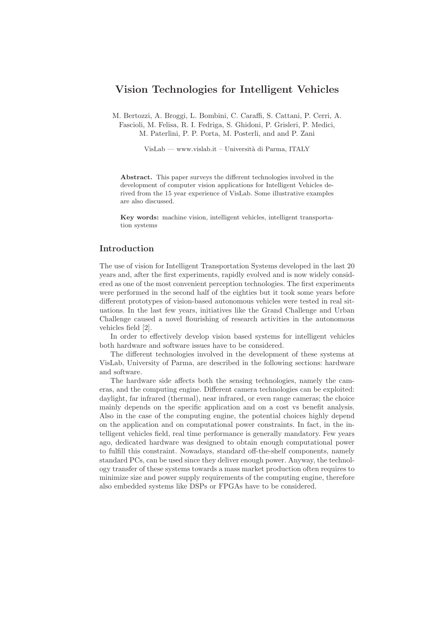# Vision Technologies for Intelligent Vehicles

M. Bertozzi, A. Broggi, L. Bombini, C. Caraffi, S. Cattani, P. Cerri, A. Fascioli, M. Felisa, R. I. Fedriga, S. Ghidoni, P. Grisleri, P. Medici, M. Paterlini, P. P. Porta, M. Posterli, and and P. Zani

VisLab — www.vislab.it – Universit`a di Parma, ITALY

Abstract. This paper surveys the different technologies involved in the development of computer vision applications for Intelligent Vehicles derived from the 15 year experience of VisLab. Some illustrative examples are also discussed.

Key words: machine vision, intelligent vehicles, intelligent transportation systems

# Introduction

The use of vision for Intelligent Transportation Systems developed in the last 20 years and, after the first experiments, rapidly evolved and is now widely considered as one of the most convenient perception technologies. The first experiments were performed in the second half of the eighties but it took some years before different prototypes of vision-based autonomous vehicles were tested in real situations. In the last few years, initiatives like the Grand Challenge and Urban Challenge caused a novel flourishing of research activities in the autonomous vehicles field [2].

In order to effectively develop vision based systems for intelligent vehicles both hardware and software issues have to be considered.

The different technologies involved in the development of these systems at VisLab, University of Parma, are described in the following sections: hardware and software.

The hardware side affects both the sensing technologies, namely the cameras, and the computing engine. Different camera technologies can be exploited: daylight, far infrared (thermal), near infrared, or even range cameras; the choice mainly depends on the specific application and on a cost vs benefit analysis. Also in the case of the computing engine, the potential choices highly depend on the application and on computational power constraints. In fact, in the intelligent vehicles field, real time performance is generally mandatory. Few years ago, dedicated hardware was designed to obtain enough computational power to fulfill this constraint. Nowadays, standard off-the-shelf components, namely standard PCs, can be used since they deliver enough power. Anyway, the technology transfer of these systems towards a mass market production often requires to minimize size and power supply requirements of the computing engine, therefore also embedded systems like DSPs or FPGAs have to be considered.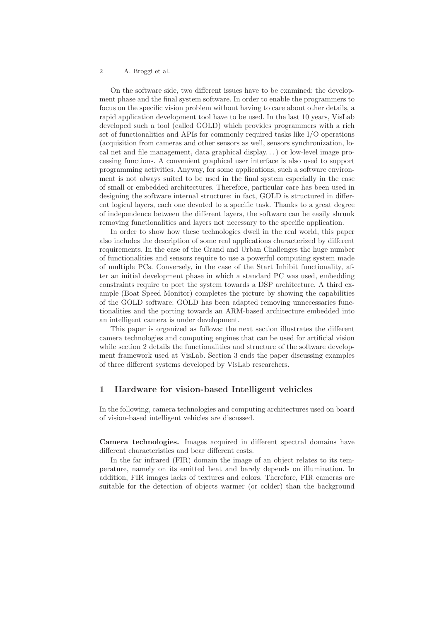#### 2 A. Broggi et al.

On the software side, two different issues have to be examined: the development phase and the final system software. In order to enable the programmers to focus on the specific vision problem without having to care about other details, a rapid application development tool have to be used. In the last 10 years, VisLab developed such a tool (called GOLD) which provides programmers with a rich set of functionalities and APIs for commonly required tasks like I/O operations (acquisition from cameras and other sensors as well, sensors synchronization, local net and file management, data graphical display. . . ) or low-level image processing functions. A convenient graphical user interface is also used to support programming activities. Anyway, for some applications, such a software environment is not always suited to be used in the final system especially in the case of small or embedded architectures. Therefore, particular care has been used in designing the software internal structure: in fact, GOLD is structured in different logical layers, each one devoted to a specific task. Thanks to a great degree of independence between the different layers, the software can be easily shrunk removing functionalities and layers not necessary to the specific application.

In order to show how these technologies dwell in the real world, this paper also includes the description of some real applications characterized by different requirements. In the case of the Grand and Urban Challenges the huge number of functionalities and sensors require to use a powerful computing system made of multiple PCs. Conversely, in the case of the Start Inhibit functionality, after an initial development phase in which a standard PC was used, embedding constraints require to port the system towards a DSP architecture. A third example (Boat Speed Monitor) completes the picture by showing the capabilities of the GOLD software: GOLD has been adapted removing unnecessaries functionalities and the porting towards an ARM-based architecture embedded into an intelligent camera is under development.

This paper is organized as follows: the next section illustrates the different camera technologies and computing engines that can be used for artificial vision while section 2 details the functionalities and structure of the software development framework used at VisLab. Section 3 ends the paper discussing examples of three different systems developed by VisLab researchers.

# 1 Hardware for vision-based Intelligent vehicles

In the following, camera technologies and computing architectures used on board of vision-based intelligent vehicles are discussed.

Camera technologies. Images acquired in different spectral domains have different characteristics and bear different costs.

In the far infrared (FIR) domain the image of an object relates to its temperature, namely on its emitted heat and barely depends on illumination. In addition, FIR images lacks of textures and colors. Therefore, FIR cameras are suitable for the detection of objects warmer (or colder) than the background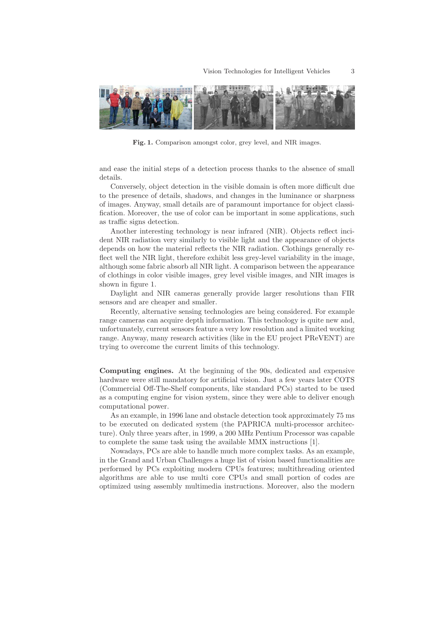

Fig. 1. Comparison amongst color, grey level, and NIR images.

and ease the initial steps of a detection process thanks to the absence of small details.

Conversely, object detection in the visible domain is often more difficult due to the presence of details, shadows, and changes in the luminance or sharpness of images. Anyway, small details are of paramount importance for object classification. Moreover, the use of color can be important in some applications, such as traffic signs detection.

Another interesting technology is near infrared (NIR). Objects reflect incident NIR radiation very similarly to visible light and the appearance of objects depends on how the material reflects the NIR radiation. Clothings generally reflect well the NIR light, therefore exhibit less grey-level variability in the image, although some fabric absorb all NIR light. A comparison between the appearance of clothings in color visible images, grey level visible images, and NIR images is shown in figure 1.

Daylight and NIR cameras generally provide larger resolutions than FIR sensors and are cheaper and smaller.

Recently, alternative sensing technologies are being considered. For example range cameras can acquire depth information. This technology is quite new and, unfortunately, current sensors feature a very low resolution and a limited working range. Anyway, many research activities (like in the EU project PReVENT) are trying to overcome the current limits of this technology.

Computing engines. At the beginning of the 90s, dedicated and expensive hardware were still mandatory for artificial vision. Just a few years later COTS (Commercial Off-The-Shelf components, like standard PCs) started to be used as a computing engine for vision system, since they were able to deliver enough computational power.

As an example, in 1996 lane and obstacle detection took approximately 75 ms to be executed on dedicated system (the PAPRICA multi-processor architecture). Only three years after, in 1999, a 200 MHz Pentium Processor was capable to complete the same task using the available MMX instructions [1].

Nowadays, PCs are able to handle much more complex tasks. As an example, in the Grand and Urban Challenges a huge list of vision based functionalities are performed by PCs exploiting modern CPUs features; multithreading oriented algorithms are able to use multi core CPUs and small portion of codes are optimized using assembly multimedia instructions. Moreover, also the modern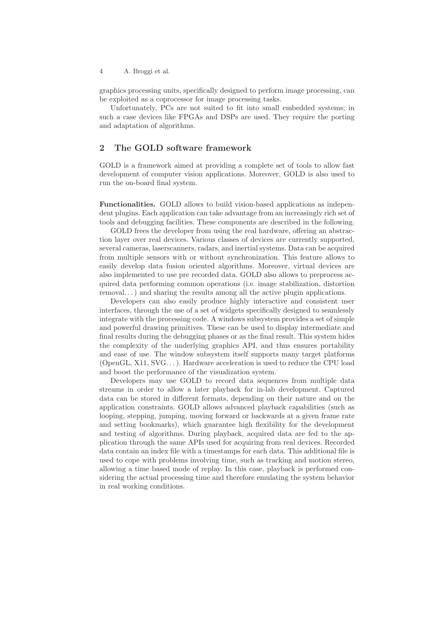4 A. Broggi et al.

graphics processing units, specifically designed to perform image processing, can be exploited as a coprocessor for image processing tasks.

Unfortunately, PCs are not suited to fit into small embedded systems; in such a case devices like FPGAs and DSPs are used. They require the porting and adaptation of algorithms.

# 2 The GOLD software framework

GOLD is a framework aimed at providing a complete set of tools to allow fast development of computer vision applications. Moreover, GOLD is also used to run the on-board final system.

Functionalities. GOLD allows to build vision-based applications as independent plugins. Each application can take advantage from an increasingly rich set of tools and debugging facilities. These components are described in the following.

GOLD frees the developer from using the real hardware, offering an abstraction layer over real devices. Various classes of devices are currently supported, several cameras, laserscanners, radars, and inertial systems. Data can be acquired from multiple sensors with or without synchronization. This feature allows to easily develop data fusion oriented algorithms. Moreover, virtual devices are also implemented to use pre recorded data. GOLD also allows to preprocess acquired data performing common operations (i.e. image stabilization, distortion removal...) and sharing the results among all the active plugin applications.

Developers can also easily produce highly interactive and consistent user interfaces, through the use of a set of widgets specifically designed to seamlessly integrate with the processing code. A windows subsystem provides a set of simple and powerful drawing primitives. These can be used to display intermediate and final results during the debugging phases or as the final result. This system hides the complexity of the underlying graphics API, and thus ensures portability and ease of use. The window subsystem itself supports many target platforms (OpenGL, X11, SVG. . . ). Hardware acceleration is used to reduce the CPU load and boost the performance of the visualization system.

Developers may use GOLD to record data sequences from multiple data streams in order to allow a later playback for in-lab development. Captured data can be stored in different formats, depending on their nature and on the application constraints. GOLD allows advanced playback capabilities (such as looping, stepping, jumping, moving forward or backwards at a given frame rate and setting bookmarks), which guarantee high flexibility for the development and testing of algorithms. During playback, acquired data are fed to the application through the same APIs used for acquiring from real devices. Recorded data contain an index file with a timestamps for each data. This additional file is used to cope with problems involving time, such as tracking and motion stereo, allowing a time based mode of replay. In this case, playback is performed considering the actual processing time and therefore emulating the system behavior in real working conditions.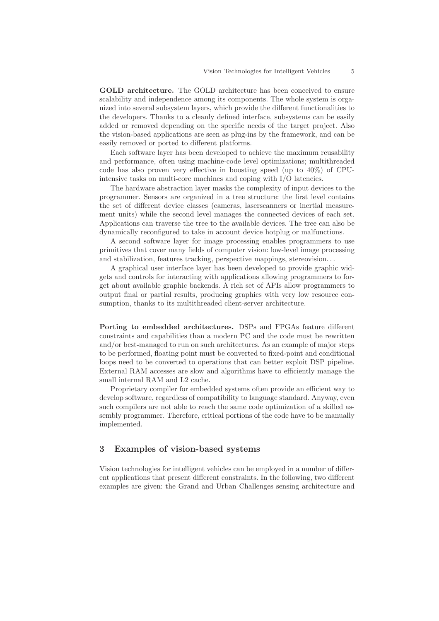GOLD architecture. The GOLD architecture has been conceived to ensure scalability and independence among its components. The whole system is organized into several subsystem layers, which provide the different functionalities to the developers. Thanks to a cleanly defined interface, subsystems can be easily added or removed depending on the specific needs of the target project. Also the vision-based applications are seen as plug-ins by the framework, and can be easily removed or ported to different platforms.

Each software layer has been developed to achieve the maximum reusability and performance, often using machine-code level optimizations; multithreaded code has also proven very effective in boosting speed (up to 40%) of CPUintensive tasks on multi-core machines and coping with I/O latencies.

The hardware abstraction layer masks the complexity of input devices to the programmer. Sensors are organized in a tree structure: the first level contains the set of different device classes (cameras, laserscanners or inertial measurement units) while the second level manages the connected devices of each set. Applications can traverse the tree to the available devices. The tree can also be dynamically reconfigured to take in account device hotplug or malfunctions.

A second software layer for image processing enables programmers to use primitives that cover many fields of computer vision: low-level image processing and stabilization, features tracking, perspective mappings, stereovision. . .

A graphical user interface layer has been developed to provide graphic widgets and controls for interacting with applications allowing programmers to forget about available graphic backends. A rich set of APIs allow programmers to output final or partial results, producing graphics with very low resource consumption, thanks to its multithreaded client-server architecture.

Porting to embedded architectures. DSPs and FPGAs feature different constraints and capabilities than a modern PC and the code must be rewritten and/or best-managed to run on such architectures. As an example of major steps to be performed, floating point must be converted to fixed-point and conditional loops need to be converted to operations that can better exploit DSP pipeline. External RAM accesses are slow and algorithms have to efficiently manage the small internal RAM and L2 cache.

Proprietary compiler for embedded systems often provide an efficient way to develop software, regardless of compatibility to language standard. Anyway, even such compilers are not able to reach the same code optimization of a skilled assembly programmer. Therefore, critical portions of the code have to be manually implemented.

# 3 Examples of vision-based systems

Vision technologies for intelligent vehicles can be employed in a number of different applications that present different constraints. In the following, two different examples are given: the Grand and Urban Challenges sensing architecture and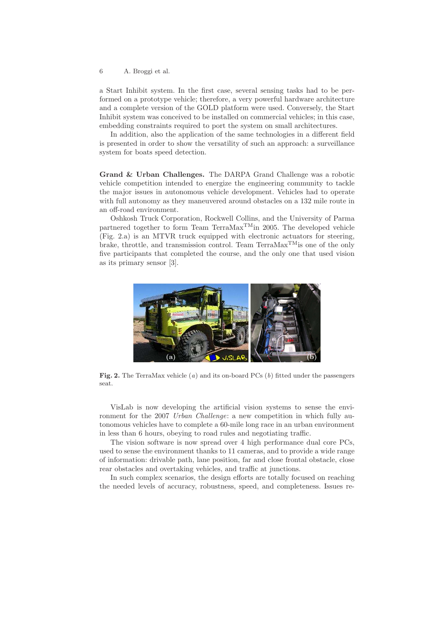a Start Inhibit system. In the first case, several sensing tasks had to be performed on a prototype vehicle; therefore, a very powerful hardware architecture and a complete version of the GOLD platform were used. Conversely, the Start Inhibit system was conceived to be installed on commercial vehicles; in this case, embedding constraints required to port the system on small architectures.

In addition, also the application of the same technologies in a different field is presented in order to show the versatility of such an approach: a surveillance system for boats speed detection.

Grand & Urban Challenges. The DARPA Grand Challenge was a robotic vehicle competition intended to energize the engineering community to tackle the major issues in autonomous vehicle development. Vehicles had to operate with full autonomy as they maneuvered around obstacles on a 132 mile route in an off-road environment.

Oshkosh Truck Corporation, Rockwell Collins, and the University of Parma partnered together to form Team TerraMaxTMin 2005. The developed vehicle (Fig. 2.a) is an MTVR truck equipped with electronic actuators for steering, brake, throttle, and transmission control. Team  $TeraMax^{TM}$  is one of the only five participants that completed the course, and the only one that used vision as its primary sensor [3].



**Fig. 2.** The TerraMax vehicle (a) and its on-board PCs (b) fitted under the passengers seat.

VisLab is now developing the artificial vision systems to sense the environment for the 2007 Urban Challenge: a new competition in which fully autonomous vehicles have to complete a 60-mile long race in an urban environment in less than 6 hours, obeying to road rules and negotiating traffic.

The vision software is now spread over 4 high performance dual core PCs, used to sense the environment thanks to 11 cameras, and to provide a wide range of information: drivable path, lane position, far and close frontal obstacle, close rear obstacles and overtaking vehicles, and traffic at junctions.

In such complex scenarios, the design efforts are totally focused on reaching the needed levels of accuracy, robustness, speed, and completeness. Issues re-

<sup>6</sup> A. Broggi et al.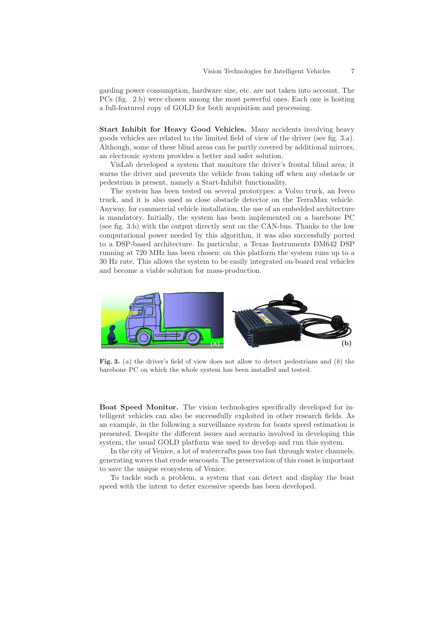garding power consumption, hardware size, etc. are not taken into account. The PCs (fig. 2.b) were chosen among the most powerful ones. Each one is hosting a full-featured copy of GOLD for both acquisition and processing.

Start Inhibit for Heavy Good Vehicles. Many accidents involving heavy goods vehicles are related to the limited field of view of the driver (see fig. 3.a). Although, some of these blind areas can be partly covered by additional mirrors, an electronic system provides a better and safer solution.

VisLab developed a system that monitors the driver's frontal blind area; it warns the driver and prevents the vehicle from taking off when any obstacle or pedestrian is present, namely a Start-Inhibit functionality.

The system has been tested on several prototypes: a Volvo truck, an Iveco truck, and it is also used as close obstacle detector on the TerraMax vehicle. Anyway, for commercial vehicle installation, the use of an embedded architecture is mandatory. Initially, the system has been implemented on a barebone PC (see fig. 3.b) with the output directly sent on the CAN-bus. Thanks to the low computational power needed by this algorithm, it was also successfully ported to a DSP-based architecture. In particular, a Texas Instruments DM642 DSP running at 720 MHz has been chosen: on this platform the system runs up to a 30 Hz rate. This allows the system to be easily integrated on-board real vehicles and become a viable solution for mass-production.



Fig. 3. (a) the driver's field of view does not allow to detect pedestrians and  $(b)$  the barebone PC on which the whole system has been installed and tested.

Boat Speed Monitor. The vision technologies specifically developed for intelligent vehicles can also be successfully exploited in other research fields. As an example, in the following a surveillance system for boats speed estimation is presented. Despite the different issues and scenario involved in developing this system, the usual GOLD platform was used to develop and run this system.

In the city of Venice, a lot of watercrafts pass too fast through water channels, generating waves that erode seacoasts. The preservation of this coast is important to save the unique ecosystem of Venice.

To tackle such a problem, a system that can detect and display the boat speed with the intent to deter excessive speeds has been developed.